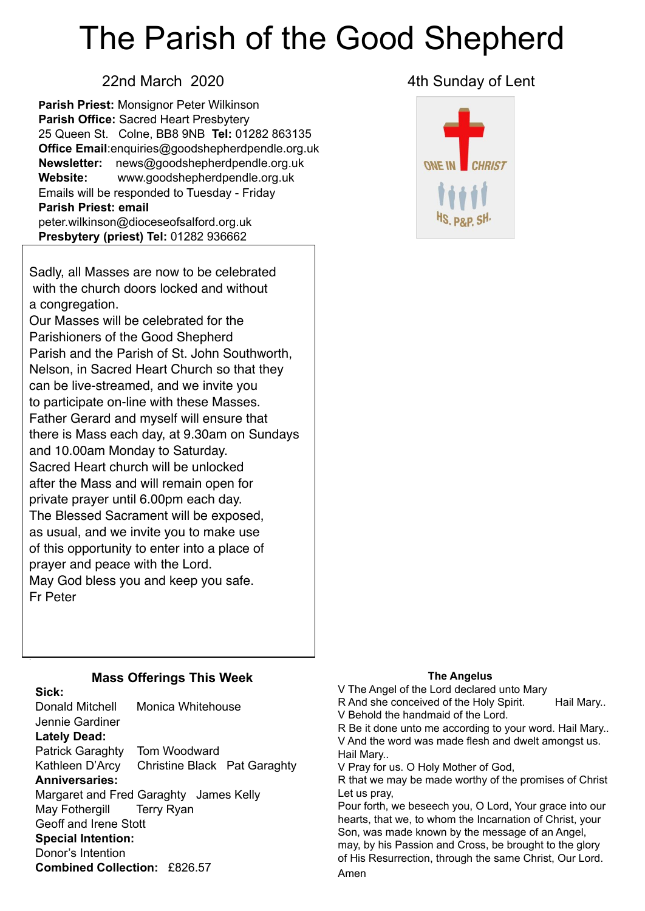# The Parish of the Good Shepherd

**Parish Priest:** Monsignor Peter Wilkinson **Parish Office:** Sacred Heart Presbytery 25 Queen St. Colne, BB8 9NB **Tel:** 01282 863135 **Office Email**[:enquiries@goodshepherdpendle.org.uk](mailto:enquiries@goodshepherdpendle.org.uk) **Newsletter:** news@goodshepherdpendle.org.uk **Website:** www.goodshepherdpendle.org.uk Emails will be responded to Tuesday - Friday **Parish Priest: email**  [peter.wilkinson@dioceseofsalford.org.uk](mailto:Emailpeter.wilkinson@dioceseofsalford.org.uk) **Presbytery (priest) Tel:** 01282 936662

Sadly, all Masses are now to be celebrated with the church doors locked and without a congregation.

 to participate on-line with these Masses.  there is Mass each day, at 9.30am on Sundays  The Blessed Sacrament will be exposed,  of this opportunity to enter into a place of Our Masses will be celebrated for the Parishioners of the Good Shepherd Parish and the Parish of St. John Southworth, Nelson, in Sacred Heart Church so that they can be live-streamed, and we invite you Father Gerard and myself will ensure that and 10.00am Monday to Saturday. Sacred Heart church will be unlocked after the Mass and will remain open for private prayer until 6.00pm each day. as usual, and we invite you to make use prayer and peace with the Lord. May God bless you and keep you safe. Fr Peter

#### 22nd March 2020 **4th Sunday of Lent**



#### **Mass Offerings This Week**

**Sick:**

.

Donald Mitchell Monica Whitehouse Jennie Gardiner **Lately Dead:** Patrick Garaghty Tom Woodward Kathleen D'Arcy Christine Black Pat Garaghty **Anniversaries:** Margaret and Fred Garaghty James Kelly May Fothergill Terry Ryan Geoff and Irene Stott **Special Intention:** Donor's Intention **Combined Collection:** £826.57

#### **The Angelus**

V The Angel of the Lord declared unto Mary R And she conceived of the Holy Spirit. Hail Mary.. V Behold the handmaid of the Lord. R Be it done unto me according to your word. Hail Mary.. V And the word was made flesh and dwelt amongst us. Hail Mary.. V Pray for us. O Holy Mother of God, R that we may be made worthy of the promises of Christ Let us pray, Pour forth, we beseech you, O Lord, Your grace into our hearts, that we, to whom the Incarnation of Christ, your Son, was made known by the message of an Angel, may, by his Passion and Cross, be brought to the glory of His Resurrection, through the same Christ, Our Lord. Amen